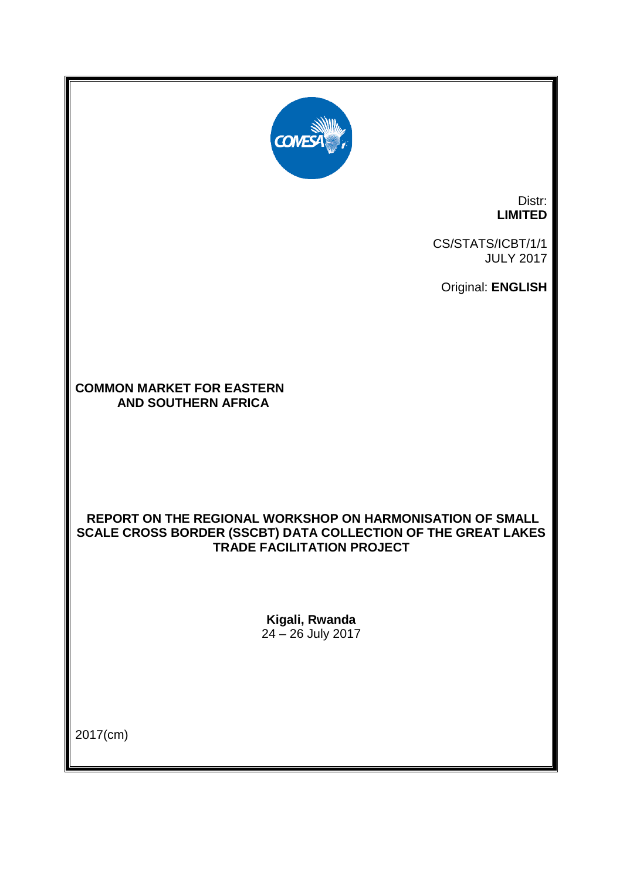

Distr: **LIMITED**

CS/STATS/ICBT/1/1 JULY 2017

Original: **ENGLISH**

**COMMON MARKET FOR EASTERN AND SOUTHERN AFRICA**

### **REPORT ON THE REGIONAL WORKSHOP ON HARMONISATION OF SMALL SCALE CROSS BORDER (SSCBT) DATA COLLECTION OF THE GREAT LAKES TRADE FACILITATION PROJECT**

**Kigali, Rwanda** 24 – 26 July 2017

2017(cm)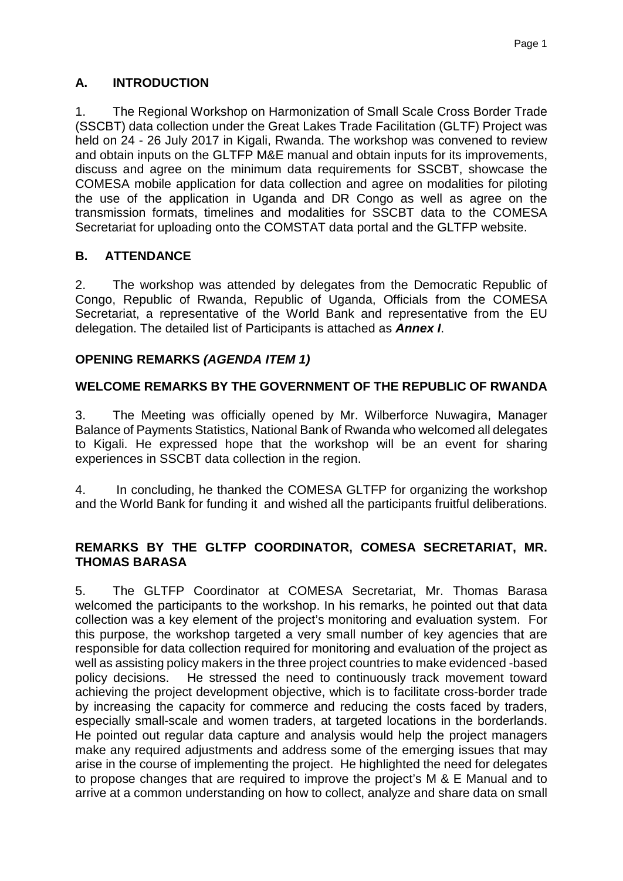# **A. INTRODUCTION**

1. The Regional Workshop on Harmonization of Small Scale Cross Border Trade (SSCBT) data collection under the Great Lakes Trade Facilitation (GLTF) Project was held on 24 - 26 July 2017 in Kigali, Rwanda. The workshop was convened to review and obtain inputs on the GLTFP M&E manual and obtain inputs for its improvements, discuss and agree on the minimum data requirements for SSCBT, showcase the COMESA mobile application for data collection and agree on modalities for piloting the use of the application in Uganda and DR Congo as well as agree on the transmission formats, timelines and modalities for SSCBT data to the COMESA Secretariat for uploading onto the COMSTAT data portal and the GLTFP website.

# **B. ATTENDANCE**

2. The workshop was attended by delegates from the Democratic Republic of Congo, Republic of Rwanda, Republic of Uganda, Officials from the COMESA Secretariat, a representative of the World Bank and representative from the EU delegation. The detailed list of Participants is attached as *Annex I*.

# **OPENING REMARKS** *(AGENDA ITEM 1)*

# **WELCOME REMARKS BY THE GOVERNMENT OF THE REPUBLIC OF RWANDA**

3. The Meeting was officially opened by Mr. Wilberforce Nuwagira, Manager Balance of Payments Statistics, National Bank of Rwanda who welcomed all delegates to Kigali. He expressed hope that the workshop will be an event for sharing experiences in SSCBT data collection in the region.

4. In concluding, he thanked the COMESA GLTFP for organizing the workshop and the World Bank for funding it and wished all the participants fruitful deliberations.

# **REMARKS BY THE GLTFP COORDINATOR, COMESA SECRETARIAT, MR. THOMAS BARASA**

5. The GLTFP Coordinator at COMESA Secretariat, Mr. Thomas Barasa welcomed the participants to the workshop. In his remarks, he pointed out that data collection was a key element of the project's monitoring and evaluation system. For this purpose, the workshop targeted a very small number of key agencies that are responsible for data collection required for monitoring and evaluation of the project as well as assisting policy makers in the three project countries to make evidenced -based policy decisions. He stressed the need to continuously track movement toward achieving the project development objective, which is to facilitate cross-border trade by increasing the capacity for commerce and reducing the costs faced by traders, especially small-scale and women traders, at targeted locations in the borderlands. He pointed out regular data capture and analysis would help the project managers make any required adjustments and address some of the emerging issues that may arise in the course of implementing the project. He highlighted the need for delegates to propose changes that are required to improve the project's M & E Manual and to arrive at a common understanding on how to collect, analyze and share data on small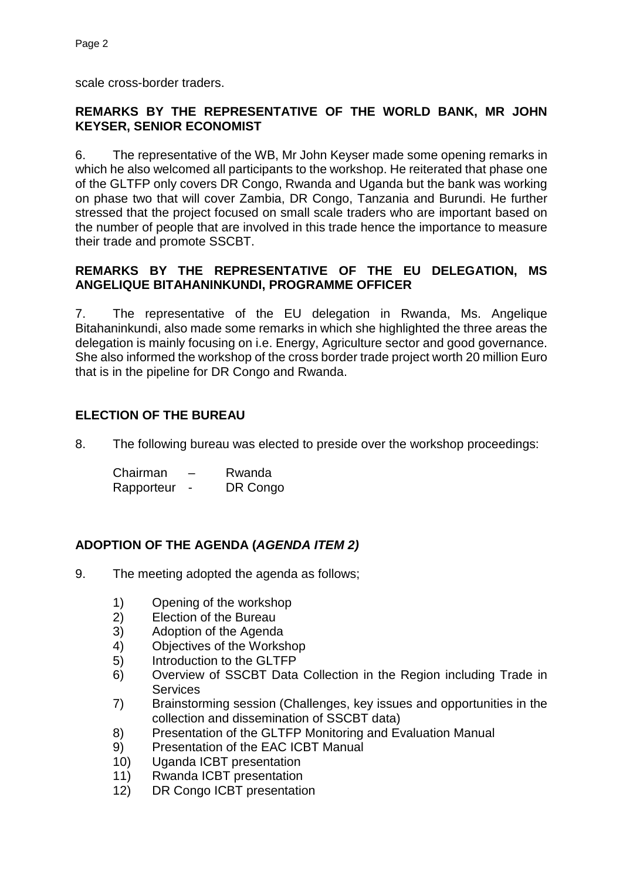scale cross-border traders.

### **REMARKS BY THE REPRESENTATIVE OF THE WORLD BANK, MR JOHN KEYSER, SENIOR ECONOMIST**

6. The representative of the WB, Mr John Keyser made some opening remarks in which he also welcomed all participants to the workshop. He reiterated that phase one of the GLTFP only covers DR Congo, Rwanda and Uganda but the bank was working on phase two that will cover Zambia, DR Congo, Tanzania and Burundi. He further stressed that the project focused on small scale traders who are important based on the number of people that are involved in this trade hence the importance to measure their trade and promote SSCBT.

### **REMARKS BY THE REPRESENTATIVE OF THE EU DELEGATION, MS ANGELIQUE BITAHANINKUNDI, PROGRAMME OFFICER**

7. The representative of the EU delegation in Rwanda, Ms. Angelique Bitahaninkundi, also made some remarks in which she highlighted the three areas the delegation is mainly focusing on i.e. Energy, Agriculture sector and good governance. She also informed the workshop of the cross border trade project worth 20 million Euro that is in the pipeline for DR Congo and Rwanda.

# **ELECTION OF THE BUREAU**

8. The following bureau was elected to preside over the workshop proceedings:

| Chairman   | – | Rwanda   |
|------------|---|----------|
| Rapporteur |   | DR Congo |

# **ADOPTION OF THE AGENDA (***AGENDA ITEM 2)*

- 9. The meeting adopted the agenda as follows;
	- 1) Opening of the workshop<br>2) Election of the Bureau
	- Election of the Bureau
	- 3) Adoption of the Agenda
	- 4) Objectives of the Workshop
	- 5) Introduction to the GLTFP
	- 6) Overview of SSCBT Data Collection in the Region including Trade in **Services**
	- 7) Brainstorming session (Challenges, key issues and opportunities in the collection and dissemination of SSCBT data)
	- 8) Presentation of the GLTFP Monitoring and Evaluation Manual
	- 9) Presentation of the EAC ICBT Manual
	- 10) Uganda ICBT presentation
	- 11) Rwanda ICBT presentation
	- 12) DR Congo ICBT presentation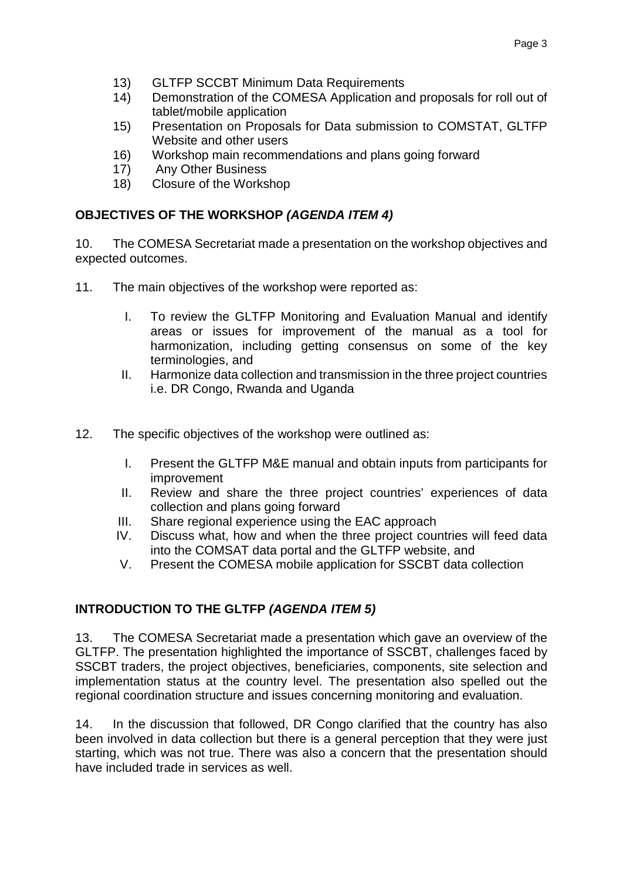- 13) GLTFP SCCBT Minimum Data Requirements
- 14) Demonstration of the COMESA Application and proposals for roll out of tablet/mobile application
- 15) Presentation on Proposals for Data submission to COMSTAT, GLTFP Website and other users
- 16) Workshop main recommendations and plans going forward
- 17) Any Other Business
- 18) Closure of the Workshop

# **OBJECTIVES OF THE WORKSHOP** *(AGENDA ITEM 4)*

10. The COMESA Secretariat made a presentation on the workshop objectives and expected outcomes.

- 11. The main objectives of the workshop were reported as:
	- I. To review the GLTFP Monitoring and Evaluation Manual and identify areas or issues for improvement of the manual as a tool for harmonization, including getting consensus on some of the key terminologies, and
	- II. Harmonize data collection and transmission in the three project countries i.e. DR Congo, Rwanda and Uganda
- 12. The specific objectives of the workshop were outlined as:
	- I. Present the GLTFP M&E manual and obtain inputs from participants for improvement
	- II. Review and share the three project countries' experiences of data collection and plans going forward
	- III. Share regional experience using the EAC approach
	- IV. Discuss what, how and when the three project countries will feed data into the COMSAT data portal and the GLTFP website, and
	- V. Present the COMESA mobile application for SSCBT data collection

# **INTRODUCTION TO THE GLTFP** *(AGENDA ITEM 5)*

13. The COMESA Secretariat made a presentation which gave an overview of the GLTFP. The presentation highlighted the importance of SSCBT, challenges faced by SSCBT traders, the project objectives, beneficiaries, components, site selection and implementation status at the country level. The presentation also spelled out the regional coordination structure and issues concerning monitoring and evaluation.

14. In the discussion that followed, DR Congo clarified that the country has also been involved in data collection but there is a general perception that they were just starting, which was not true. There was also a concern that the presentation should have included trade in services as well.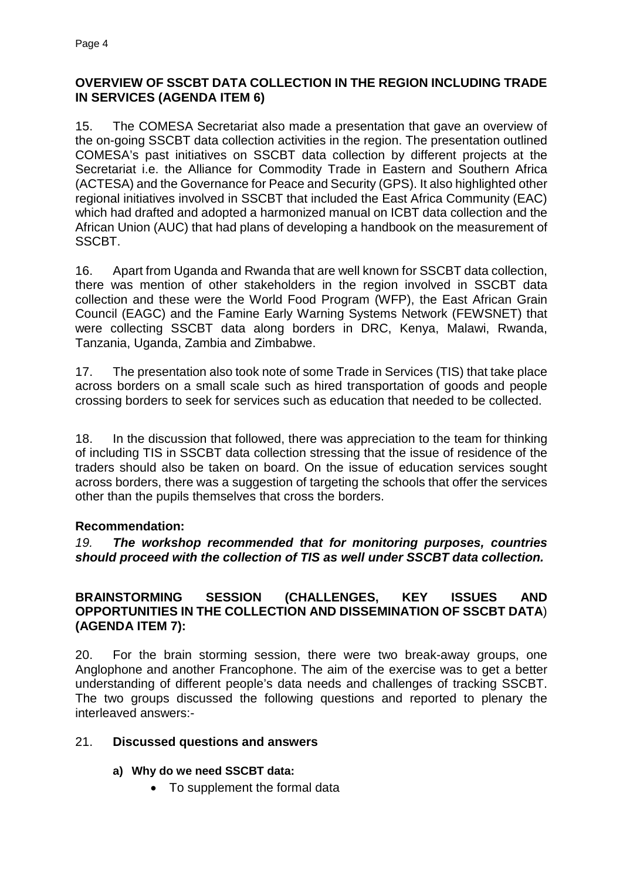# **OVERVIEW OF SSCBT DATA COLLECTION IN THE REGION INCLUDING TRADE IN SERVICES (AGENDA ITEM 6)**

15. The COMESA Secretariat also made a presentation that gave an overview of the on-going SSCBT data collection activities in the region. The presentation outlined COMESA's past initiatives on SSCBT data collection by different projects at the Secretariat i.e. the Alliance for Commodity Trade in Eastern and Southern Africa (ACTESA) and the Governance for Peace and Security (GPS). It also highlighted other regional initiatives involved in SSCBT that included the East Africa Community (EAC) which had drafted and adopted a harmonized manual on ICBT data collection and the African Union (AUC) that had plans of developing a handbook on the measurement of SSCBT.

16. Apart from Uganda and Rwanda that are well known for SSCBT data collection, there was mention of other stakeholders in the region involved in SSCBT data collection and these were the World Food Program (WFP), the East African Grain Council (EAGC) and the Famine Early Warning Systems Network (FEWSNET) that were collecting SSCBT data along borders in DRC, Kenya, Malawi, Rwanda, Tanzania, Uganda, Zambia and Zimbabwe.

17. The presentation also took note of some Trade in Services (TIS) that take place across borders on a small scale such as hired transportation of goods and people crossing borders to seek for services such as education that needed to be collected.

18. In the discussion that followed, there was appreciation to the team for thinking of including TIS in SSCBT data collection stressing that the issue of residence of the traders should also be taken on board. On the issue of education services sought across borders, there was a suggestion of targeting the schools that offer the services other than the pupils themselves that cross the borders.

# **Recommendation:**

*19. The workshop recommended that for monitoring purposes, countries should proceed with the collection of TIS as well under SSCBT data collection.*

### **BRAINSTORMING SESSION (CHALLENGES, KEY ISSUES AND OPPORTUNITIES IN THE COLLECTION AND DISSEMINATION OF SSCBT DATA**) **(AGENDA ITEM 7):**

20. For the brain storming session, there were two break-away groups, one Anglophone and another Francophone. The aim of the exercise was to get a better understanding of different people's data needs and challenges of tracking SSCBT. The two groups discussed the following questions and reported to plenary the interleaved answers:-

### 21. **Discussed questions and answers**

### **a) Why do we need SSCBT data:**

• To supplement the formal data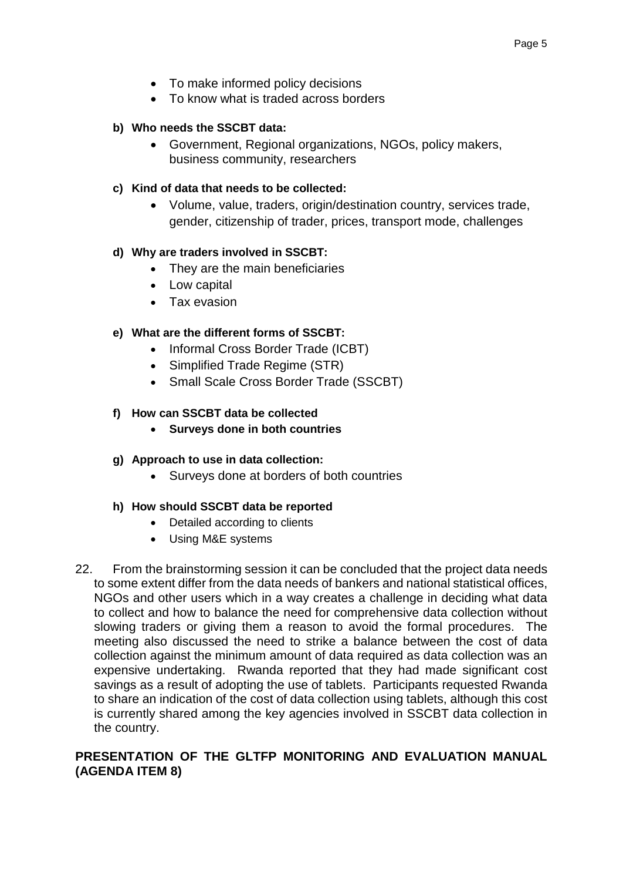- To make informed policy decisions
- To know what is traded across borders

#### **b) Who needs the SSCBT data:**

• Government, Regional organizations, NGOs, policy makers, business community, researchers

#### **c) Kind of data that needs to be collected:**

• Volume, value, traders, origin/destination country, services trade, gender, citizenship of trader, prices, transport mode, challenges

#### **d) Why are traders involved in SSCBT:**

- They are the main beneficiaries
- Low capital
- Tax evasion

#### **e) What are the different forms of SSCBT:**

- Informal Cross Border Trade (ICBT)
- Simplified Trade Regime (STR)
- Small Scale Cross Border Trade (SSCBT)

#### **f) How can SSCBT data be collected**

- **Surveys done in both countries**
- **g) Approach to use in data collection:**
	- Surveys done at borders of both countries

#### **h) How should SSCBT data be reported**

- Detailed according to clients
- Using M&E systems
- 22. From the brainstorming session it can be concluded that the project data needs to some extent differ from the data needs of bankers and national statistical offices, NGOs and other users which in a way creates a challenge in deciding what data to collect and how to balance the need for comprehensive data collection without slowing traders or giving them a reason to avoid the formal procedures. The meeting also discussed the need to strike a balance between the cost of data collection against the minimum amount of data required as data collection was an expensive undertaking. Rwanda reported that they had made significant cost savings as a result of adopting the use of tablets. Participants requested Rwanda to share an indication of the cost of data collection using tablets, although this cost is currently shared among the key agencies involved in SSCBT data collection in the country.

### **PRESENTATION OF THE GLTFP MONITORING AND EVALUATION MANUAL (AGENDA ITEM 8)**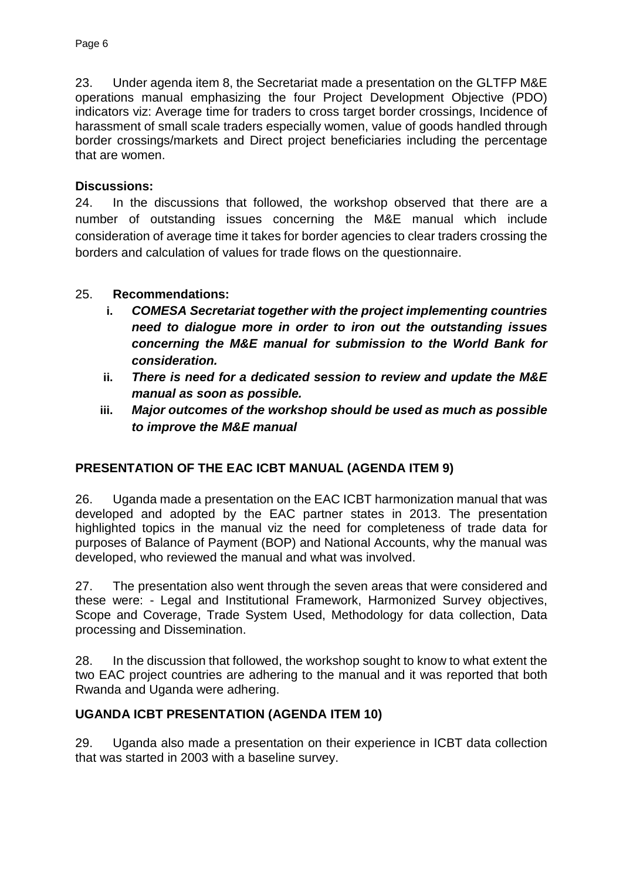23. Under agenda item 8, the Secretariat made a presentation on the GLTFP M&E operations manual emphasizing the four Project Development Objective (PDO) indicators viz: Average time for traders to cross target border crossings, Incidence of harassment of small scale traders especially women, value of goods handled through border crossings/markets and Direct project beneficiaries including the percentage that are women.

### **Discussions:**

24. In the discussions that followed, the workshop observed that there are a number of outstanding issues concerning the M&E manual which include consideration of average time it takes for border agencies to clear traders crossing the borders and calculation of values for trade flows on the questionnaire.

### 25. **Recommendations:**

- **i.** *COMESA Secretariat together with the project implementing countries need to dialogue more in order to iron out the outstanding issues concerning the M&E manual for submission to the World Bank for consideration.*
- **ii.** *There is need for a dedicated session to review and update the M&E manual as soon as possible.*
- **iii.** *Major outcomes of the workshop should be used as much as possible to improve the M&E manual*

# **PRESENTATION OF THE EAC ICBT MANUAL (AGENDA ITEM 9)**

26. Uganda made a presentation on the EAC ICBT harmonization manual that was developed and adopted by the EAC partner states in 2013. The presentation highlighted topics in the manual viz the need for completeness of trade data for purposes of Balance of Payment (BOP) and National Accounts, why the manual was developed, who reviewed the manual and what was involved.

27. The presentation also went through the seven areas that were considered and these were: - Legal and Institutional Framework, Harmonized Survey objectives, Scope and Coverage, Trade System Used, Methodology for data collection, Data processing and Dissemination.

28. In the discussion that followed, the workshop sought to know to what extent the two EAC project countries are adhering to the manual and it was reported that both Rwanda and Uganda were adhering.

### **UGANDA ICBT PRESENTATION (AGENDA ITEM 10)**

29. Uganda also made a presentation on their experience in ICBT data collection that was started in 2003 with a baseline survey.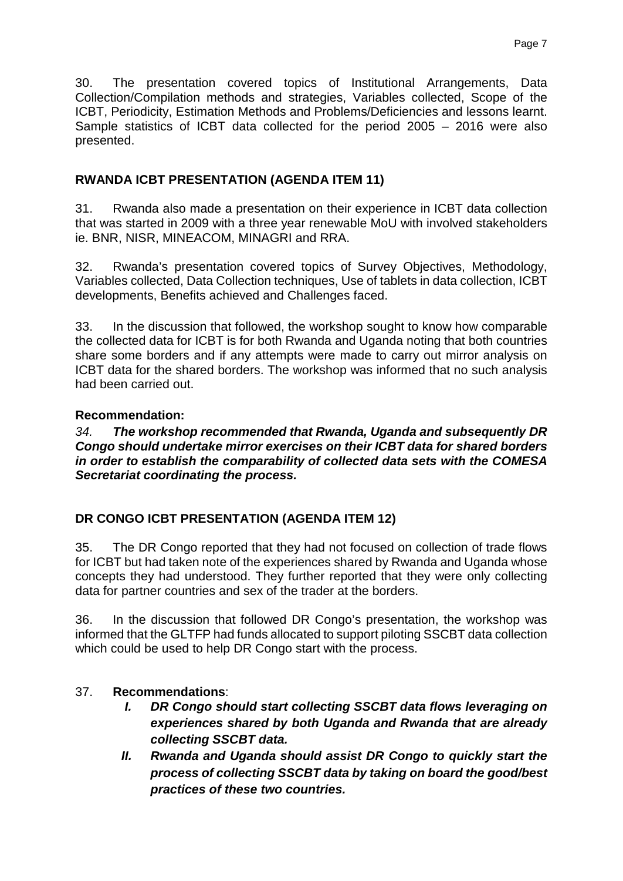30. The presentation covered topics of Institutional Arrangements, Data Collection/Compilation methods and strategies, Variables collected, Scope of the ICBT, Periodicity, Estimation Methods and Problems/Deficiencies and lessons learnt. Sample statistics of ICBT data collected for the period 2005 – 2016 were also presented.

# **RWANDA ICBT PRESENTATION (AGENDA ITEM 11)**

31. Rwanda also made a presentation on their experience in ICBT data collection that was started in 2009 with a three year renewable MoU with involved stakeholders ie. BNR, NISR, MINEACOM, MINAGRI and RRA.

32. Rwanda's presentation covered topics of Survey Objectives, Methodology, Variables collected, Data Collection techniques, Use of tablets in data collection, ICBT developments, Benefits achieved and Challenges faced.

33. In the discussion that followed, the workshop sought to know how comparable the collected data for ICBT is for both Rwanda and Uganda noting that both countries share some borders and if any attempts were made to carry out mirror analysis on ICBT data for the shared borders. The workshop was informed that no such analysis had been carried out.

### **Recommendation:**

*34. The workshop recommended that Rwanda, Uganda and subsequently DR Congo should undertake mirror exercises on their ICBT data for shared borders in order to establish the comparability of collected data sets with the COMESA Secretariat coordinating the process.*

# **DR CONGO ICBT PRESENTATION (AGENDA ITEM 12)**

35. The DR Congo reported that they had not focused on collection of trade flows for ICBT but had taken note of the experiences shared by Rwanda and Uganda whose concepts they had understood. They further reported that they were only collecting data for partner countries and sex of the trader at the borders.

36. In the discussion that followed DR Congo's presentation, the workshop was informed that the GLTFP had funds allocated to support piloting SSCBT data collection which could be used to help DR Congo start with the process.

# 37. **Recommendations**:

- *I. DR Congo should start collecting SSCBT data flows leveraging on experiences shared by both Uganda and Rwanda that are already collecting SSCBT data.*
- *II. Rwanda and Uganda should assist DR Congo to quickly start the process of collecting SSCBT data by taking on board the good/best practices of these two countries.*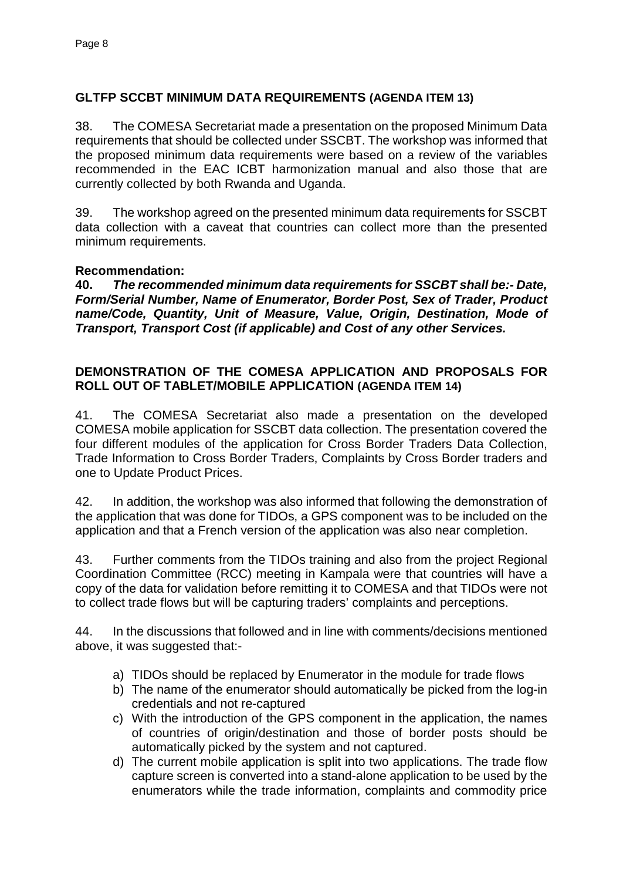# **GLTFP SCCBT MINIMUM DATA REQUIREMENTS (AGENDA ITEM 13)**

38. The COMESA Secretariat made a presentation on the proposed Minimum Data requirements that should be collected under SSCBT. The workshop was informed that the proposed minimum data requirements were based on a review of the variables recommended in the EAC ICBT harmonization manual and also those that are currently collected by both Rwanda and Uganda.

39. The workshop agreed on the presented minimum data requirements for SSCBT data collection with a caveat that countries can collect more than the presented minimum requirements.

### **Recommendation:**

**40.** *The recommended minimum data requirements for SSCBT shall be:- Date, Form/Serial Number, Name of Enumerator, Border Post, Sex of Trader, Product name/Code, Quantity, Unit of Measure, Value, Origin, Destination, Mode of Transport, Transport Cost (if applicable) and Cost of any other Services.*

### **DEMONSTRATION OF THE COMESA APPLICATION AND PROPOSALS FOR ROLL OUT OF TABLET/MOBILE APPLICATION (AGENDA ITEM 14)**

41. The COMESA Secretariat also made a presentation on the developed COMESA mobile application for SSCBT data collection. The presentation covered the four different modules of the application for Cross Border Traders Data Collection, Trade Information to Cross Border Traders, Complaints by Cross Border traders and one to Update Product Prices.

42. In addition, the workshop was also informed that following the demonstration of the application that was done for TIDOs, a GPS component was to be included on the application and that a French version of the application was also near completion.

43. Further comments from the TIDOs training and also from the project Regional Coordination Committee (RCC) meeting in Kampala were that countries will have a copy of the data for validation before remitting it to COMESA and that TIDOs were not to collect trade flows but will be capturing traders' complaints and perceptions.

44. In the discussions that followed and in line with comments/decisions mentioned above, it was suggested that:-

- a) TIDOs should be replaced by Enumerator in the module for trade flows
- b) The name of the enumerator should automatically be picked from the log-in credentials and not re-captured
- c) With the introduction of the GPS component in the application, the names of countries of origin/destination and those of border posts should be automatically picked by the system and not captured.
- d) The current mobile application is split into two applications. The trade flow capture screen is converted into a stand-alone application to be used by the enumerators while the trade information, complaints and commodity price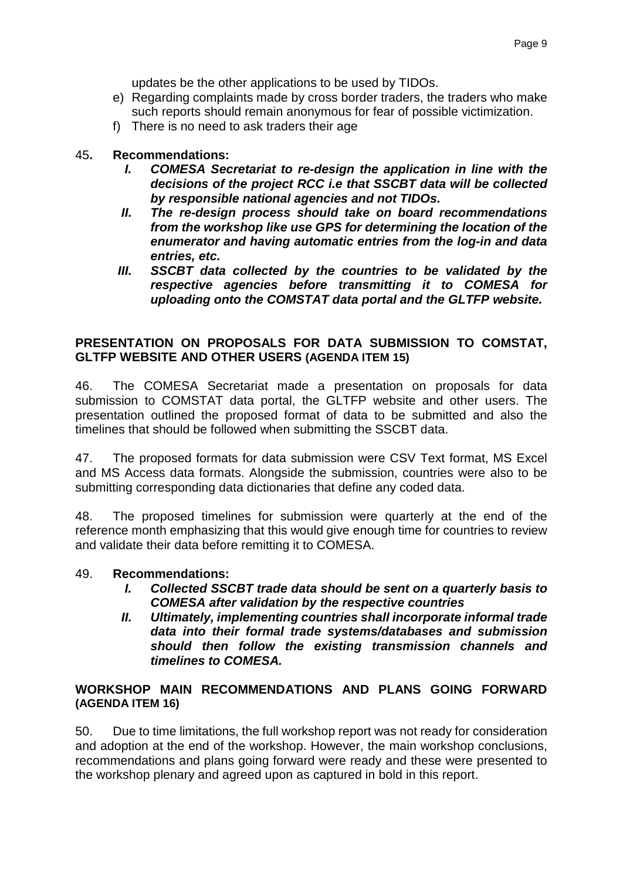updates be the other applications to be used by TIDOs.

- e) Regarding complaints made by cross border traders, the traders who make such reports should remain anonymous for fear of possible victimization.
- f) There is no need to ask traders their age

### 45**. Recommendations:**

- *I. COMESA Secretariat to re-design the application in line with the decisions of the project RCC i.e that SSCBT data will be collected by responsible national agencies and not TIDOs.*
- *II. The re-design process should take on board recommendations from the workshop like use GPS for determining the location of the enumerator and having automatic entries from the log-in and data entries, etc.*
- *III. SSCBT data collected by the countries to be validated by the respective agencies before transmitting it to COMESA for uploading onto the COMSTAT data portal and the GLTFP website.*

### **PRESENTATION ON PROPOSALS FOR DATA SUBMISSION TO COMSTAT, GLTFP WEBSITE AND OTHER USERS (AGENDA ITEM 15)**

46. The COMESA Secretariat made a presentation on proposals for data submission to COMSTAT data portal, the GLTFP website and other users. The presentation outlined the proposed format of data to be submitted and also the timelines that should be followed when submitting the SSCBT data.

47. The proposed formats for data submission were CSV Text format, MS Excel and MS Access data formats. Alongside the submission, countries were also to be submitting corresponding data dictionaries that define any coded data.

48. The proposed timelines for submission were quarterly at the end of the reference month emphasizing that this would give enough time for countries to review and validate their data before remitting it to COMESA.

#### 49. **Recommendations:**

- *I. Collected SSCBT trade data should be sent on a quarterly basis to COMESA after validation by the respective countries*
- *II. Ultimately, implementing countries shall incorporate informal trade data into their formal trade systems/databases and submission should then follow the existing transmission channels and timelines to COMESA.*

### **WORKSHOP MAIN RECOMMENDATIONS AND PLANS GOING FORWARD (AGENDA ITEM 16)**

50. Due to time limitations, the full workshop report was not ready for consideration and adoption at the end of the workshop. However, the main workshop conclusions, recommendations and plans going forward were ready and these were presented to the workshop plenary and agreed upon as captured in bold in this report.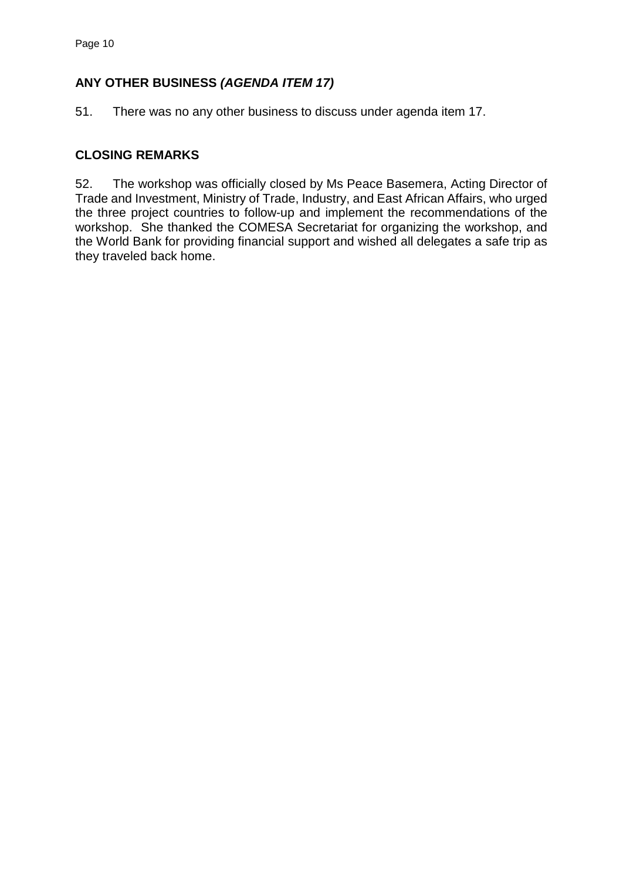# **ANY OTHER BUSINESS** *(AGENDA ITEM 17)*

51. There was no any other business to discuss under agenda item 17.

# **CLOSING REMARKS**

52. The workshop was officially closed by Ms Peace Basemera, Acting Director of Trade and Investment, Ministry of Trade, Industry, and East African Affairs, who urged the three project countries to follow-up and implement the recommendations of the workshop. She thanked the COMESA Secretariat for organizing the workshop, and the World Bank for providing financial support and wished all delegates a safe trip as they traveled back home.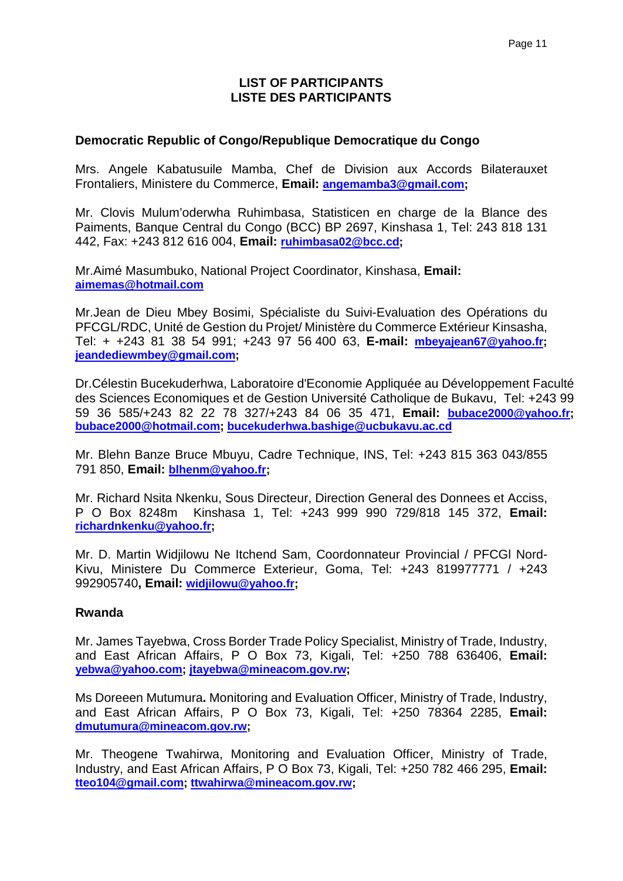### **LIST OF PARTICIPANTS LISTE DES PARTICIPANTS**

### **Democratic Republic of Congo/Republique Democratique du Congo**

Mrs. Angele Kabatusuile Mamba, Chef de Division aux Accords Bilaterauxet Frontaliers, Ministere du Commerce, **Email: [angemamba3@gmail.com;](mailto:angemamba3@gmail.com)** 

Mr. Clovis Mulum'oderwha Ruhimbasa, Statisticen en charge de la Blance des Paiments, Banque Central du Congo (BCC) BP 2697, Kinshasa 1, Tel: 243 818 131 442, Fax: +243 812 616 004, **Email: [ruhimbasa02@bcc.cd;](mailto:ruhimbasa02@bcc.cd)**

Mr.Aimé Masumbuko, National Project Coordinator, Kinshasa, **Email: [aimemas@hotmail.com](mailto:aimemas@hotmail.com)**

Mr.Jean de Dieu Mbey Bosimi, Spécialiste du Suivi-Evaluation des Opérations du PFCGL/RDC, Unité de Gestion du Projet/ Ministère du Commerce Extérieur Kinsasha, Tel: + +243 81 38 54 991; +243 97 56 400 63, **E-mail: [mbeyajean67@yahoo.fr;](mailto:mbeyajean67@yahoo.fr) [jeandediewmbey@gmail.com;](mailto:jeandediewmbey@gmail.com)** 

Dr.Célestin Bucekuderhwa, Laboratoire d'Economie Appliquée au Développement Faculté des Sciences Economiques et de Gestion Université Catholique de Bukavu, Tel: +243 99 59 36 585/+243 82 22 78 327/+243 84 06 35 471, **Email: [bubace2000@yahoo.fr;](mailto:bubace2000@yahoo.fr) [bubace2000@hotmail.com;](mailto:bubace2000@hotmail.com) [bucekuderhwa.bashige@ucbukavu.ac.cd](mailto:bucekuderhwa.bashige@ucbukavu.ac.cd)**

Mr. Blehn Banze Bruce Mbuyu, Cadre Technique, INS, Tel: +243 815 363 043/855 791 850, **Email: [blhenm@yahoo.fr;](mailto:blhenm@yahoo.fr)**

Mr. Richard Nsita Nkenku, Sous Directeur, Direction General des Donnees et Acciss, P O Box 8248m Kinshasa 1, Tel: +243 999 990 729/818 145 372, **Email: [richardnkenku@yahoo.fr;](mailto:richardnkenku@yahoo.fr)** 

Mr. D. Martin Widjilowu Ne Itchend Sam, Coordonnateur Provincial / PFCGl Nord-Kivu, Ministere Du Commerce Exterieur, Goma, Tel: +243 819977771 / +243 992905740**, Email: [widjilowu@yahoo.fr;](mailto:widjilowu@yahoo.fr)**

#### **Rwanda**

Mr. James Tayebwa, Cross Border Trade Policy Specialist, Ministry of Trade, Industry, and East African Affairs, P O Box 73, Kigali, Tel: +250 788 636406, **Email: [yebwa@yahoo.com;](mailto:yebwa@yahoo.com) [jtayebwa@mineacom.gov.rw;](mailto:jtayebwa@mineacom.gov.rw)** 

Ms Doreeen Mutumura**.** Monitoring and Evaluation Officer, Ministry of Trade, Industry, and East African Affairs, P O Box 73, Kigali, Tel: +250 78364 2285, **Email: [dmutumura@mineacom.gov.rw;](mailto:dmutumura@mineacom.gov.rw)** 

Mr. Theogene Twahirwa, Monitoring and Evaluation Officer, Ministry of Trade, Industry, and East African Affairs, P O Box 73, Kigali, Tel: +250 782 466 295, **Email: [tteo104@gmail.com;](mailto:tteo104@gmail.com) [ttwahirwa@mineacom.gov.rw;](mailto:ttwahirwa@mineacom.gov.rw)**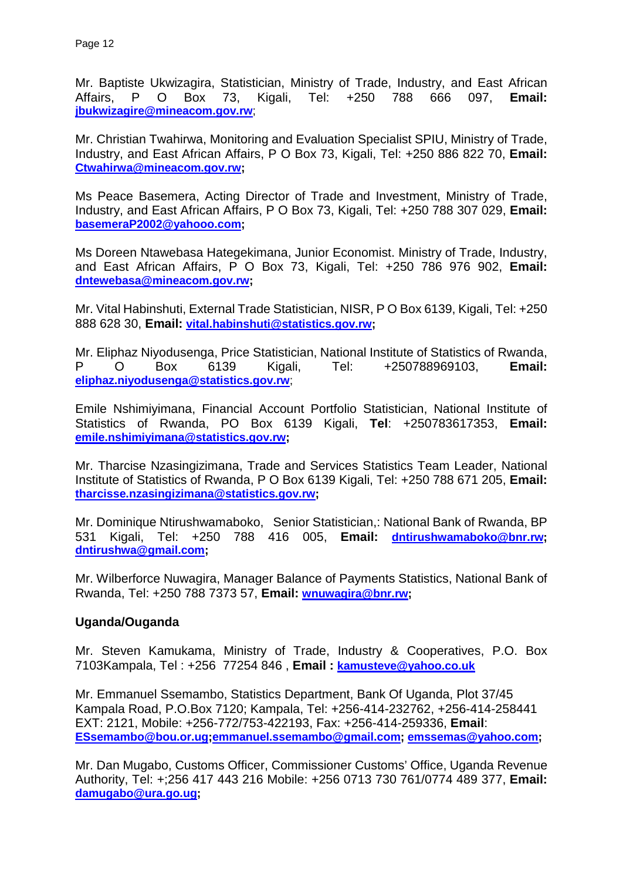Mr. Baptiste Ukwizagira, Statistician, Ministry of Trade, Industry, and East African Affairs, P O Box 73, Kigali, Tel: +250 788 666 097, **Email: [jbukwizagire@mineacom.gov.rw](mailto:jbukwizagire@mineacom.gov.rw)**;

Mr. Christian Twahirwa, Monitoring and Evaluation Specialist SPIU, Ministry of Trade, Industry, and East African Affairs, P O Box 73, Kigali, Tel: +250 886 822 70, **Email: [Ctwahirwa@mineacom.gov.rw;](mailto:Ctwahirwa@mineacom.gov.rw)**

Ms Peace Basemera, Acting Director of Trade and Investment, Ministry of Trade, Industry, and East African Affairs, P O Box 73, Kigali, Tel: +250 788 307 029, **Email: [basemeraP2002@yahooo.com;](mailto:basemeraP2002@yahooo.com)** 

Ms Doreen Ntawebasa Hategekimana, Junior Economist. Ministry of Trade, Industry, and East African Affairs, P O Box 73, Kigali, Tel: +250 786 976 902, **Email: [dntewebasa@mineacom.gov.rw;](mailto:dntewebasa@mineacom.gov.rw)** 

Mr. Vital Habinshuti, External Trade Statistician, NISR, P O Box 6139, Kigali, Tel: +250 888 628 30, **Email: [vital.habinshuti@statistics.gov.rw;](mailto:vital.habinshuti@statistics.gov.rw)** 

Mr. Eliphaz Niyodusenga, Price Statistician, National Institute of Statistics of Rwanda, P O Box 6139 Kigali, Tel: +250788969103, **Email: [eliphaz.niyodusenga@statistics.gov.rw](mailto:eliphaz.niyodusenga@statistics.gov.rw)**;

Emile Nshimiyimana, Financial Account Portfolio Statistician, National Institute of Statistics of Rwanda, PO Box 6139 Kigali, **Tel**: +250783617353, **Email: [emile.nshimiyimana@statistics.gov.rw;](mailto:emile.nshimiyimana@statistics.gov.rw)** 

Mr. Tharcise Nzasingizimana, Trade and Services Statistics Team Leader, National Institute of Statistics of Rwanda, P O Box 6139 Kigali, Tel: +250 788 671 205, **Email: [tharcisse.nzasingizimana@statistics.gov.rw;](mailto:tharcisse.nzasingizimana@statistics.gov.rw)**

Mr. Dominique Ntirushwamaboko, Senior Statistician,: National Bank of Rwanda, BP 531 Kigali, Tel: +250 788 416 005, **Email: [dntirushwamaboko@bnr.rw;](mailto:dntirushwamaboko@bnr.rw) [dntirushwa@gmail.com;](mailto:dntirushwa@gmail.com)** 

Mr. Wilberforce Nuwagira, Manager Balance of Payments Statistics, National Bank of Rwanda, Tel: +250 788 7373 57, **Email: [wnuwagira@bnr.rw;](mailto:wnuwagira@bnr.rw)** 

### **Uganda/Ouganda**

Mr. Steven Kamukama, Ministry of Trade, Industry & Cooperatives, P.O. Box 7103Kampala, Tel : +256 77254 846 , **Email : [kamusteve@yahoo.co.uk](mailto:kamusteve@yahoo.co.uk)**

Mr. Emmanuel Ssemambo, Statistics Department, Bank Of Uganda, Plot 37/45 Kampala Road, P.O.Box 7120; Kampala, Tel: +256-414-232762, +256-414-258441 EXT: 2121, Mobile: +256-772/753-422193, Fax: +256-414-259336, **Email**: **[ESsemambo@bou.or.ug;](mailto:ESsemambo@bou.or.ug)[emmanuel.ssemambo@gmail.com;](mailto:emmanuel.ssemambo@gmail.com) [emssemas@yahoo.com;](mailto:emssemas@yahoo.com)** 

Mr. Dan Mugabo, Customs Officer, Commissioner Customs' Office, Uganda Revenue Authority, Tel: +;256 417 443 216 Mobile: +256 0713 730 761/0774 489 377, **Email: [damugabo@ura.go.ug;](mailto:damugabo@ura.go.ug)**